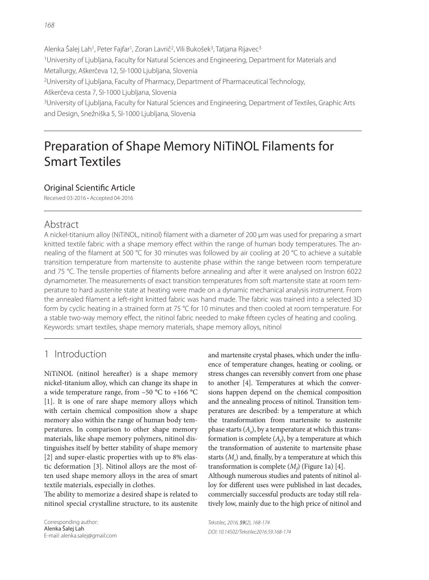Alenka Šalej Lah<sup>1</sup>, Peter Fajfar<sup>1</sup>, Zoran Lavrič<sup>2</sup>, Vili Bukošek<sup>3</sup>, Tatjana Rijavec<sup>3</sup> 1University of Ljubljana, Faculty for Natural Sciences and Engineering, Department for Materials and Metallurgy, Aškerčeva 12, SI-1000 Ljubljana, Slovenia 2University of Ljubljana, Faculty of Pharmacy, Department of Pharmaceutical Technology, Aškerčeva cesta 7, SI-1000 Ljubljana, Slovenia 3University of Ljubljana, Faculty for Natural Sciences and Engineering, Department of Textiles, Graphic Arts

Preparation of Shape Memory NiTiNOL Filaments for Smart Textiles

## Original Scientific Article

and Design, Snežniška 5, SI-1000 Ljubljana, Slovenia

Received 03-2016 • Accepted 04-2016

## Abstract

A nickel-titanium alloy (NiTiNOL, nitinol) filament with a diameter of 200 µm was used for preparing a smart knitted textile fabric with a shape memory effect within the range of human body temperatures. The annealing of the filament at 500 °C for 30 minutes was followed by air cooling at 20 °C to achieve a suitable transition temperature from martensite to austenite phase within the range between room temperature and 75 °C. The tensile properties of filaments before annealing and after it were analysed on Instron 6022 dynamometer. The measurements of exact transition temperatures from soft martensite state at room temperature to hard austenite state at heating were made on a dynamic mechanical analysis instrument. From the annealed filament a left-right knitted fabric was hand made. The fabric was trained into a selected 3D form by cyclic heating in a strained form at 75 °C for 10 minutes and then cooled at room temperature. For a stable two-way memory effect, the nitinol fabric needed to make fifteen cycles of heating and cooling. Keywords: smart textiles, shape memory materials, shape memory alloys, nitinol

# 1 Introduction

NiTiNOL (nitinol hereafter) is a shape memory nickel-titanium alloy, which can change its shape in a wide temperature range, from  $-50$  °C to  $+166$  °C [1]. It is one of rare shape memory alloys which with certain chemical composition show a shape memory also within the range of human body temperatures. In comparison to other shape memory materials, like shape memory polymers, nitinol distinguishes itself by better stability of shape memory [2] and super-elastic properties with up to 8% elastic deformation [3]. Nitinol alloys are the most often used shape memory alloys in the area of smart textile materials, especially in clothes.

The ability to memorize a desired shape is related to nitinol special crystalline structure, to its austenite

Corresponding author: Alenka Šalej Lah E-mail: alenka.salej@gmail.com and martensite crystal phases, which under the influence of temperature changes, heating or cooling, or stress changes can reversibly convert from one phase to another [4]. Temperatures at which the conversions happen depend on the chemical composition and the annealing process of nitinol. Transition temperatures are described: by a temperature at which the transformation from martensite to austenite phase starts  $(A<sub>s</sub>)$ , by a temperature at which this transformation is complete  $(A_f)$ , by a temperature at which the transformation of austenite to martensite phase starts  $(M<sub>s</sub>)$  and, finally, by a temperature at which this transformation is complete  $(M_f)$  (Figure 1a) [4].

Although numerous studies and patents of nitinol alloy for different uses were published in last decades, commercially successful products are today still relatively low, mainly due to the high price of nitinol and

Tekstilec, 2016, 59(2), 168-174 DOI: 10.14502/Tekstilec2016.59.168-174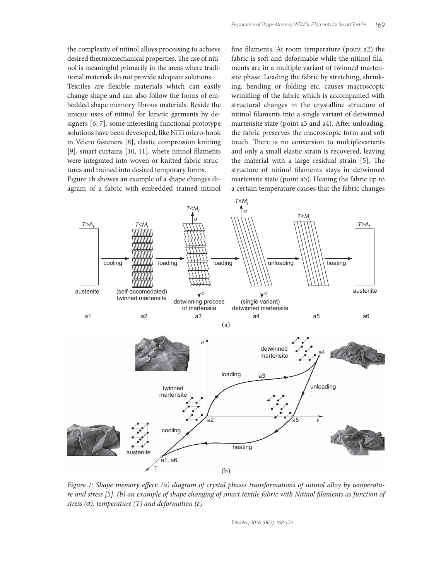the complexity of nitinol alloys processing to achieve desired thermomechanical properties. The use of nitinol is meaningful primarily in the areas where traditional materials do not provide adequate solutions.

Textiles are flexible materials which can easily change shape and can also follow the forms of embedded shape memory fibrous materials. Beside the unique uses of nitinol for kinetic garments by designers [6, 7], some interesting functional prototype solutions have been developed, like NiTi micro-hook in Velcro fasteners [8], elastic compression knitting  $[9]$ , smart curtains  $[10, 11]$ , where nitinol filaments were integrated into woven or knitted fabric structures and trained into desired temporary forms.

Figure 1b showes an example of a shape changes diagram of a fabric with embedded trained nitinol fine filaments. At room temperature (point a2) the fabric is soft and deformable while the nitinol filaments are in a multiple variant of twinned martensite phase. Loading the fabric by stretching, shrinking, bending or folding etc. causes macroscopic wrinkling of the fabric which is accompanied with structural changes in the crystalline structure of nitinol filaments into a single variant of detwinned martensite state (point a3 and a4). After unloading, the fabric preserves the macroscopic form and soft touch. There is no conversion to multiplevariants and only a small elastic strain is recovered, leaving the material with a large residual strain  $[5]$ . The structure of nitinol filaments stays in detwinned martensite state (point a5). Heating the fabric up to a certain temperature causes that the fabric changes



Figure 1: Shape memory effect: (a) diagram of crystal phases transformations of nitinol alloy by temperature and stress [5], (b) an example of shape changing of smart textile fabric with Nitinol filaments as function of stress ( $\sigma$ ), temperature (T) and deformation (ε)

Tekstilec, 2016, 59(2), 168-174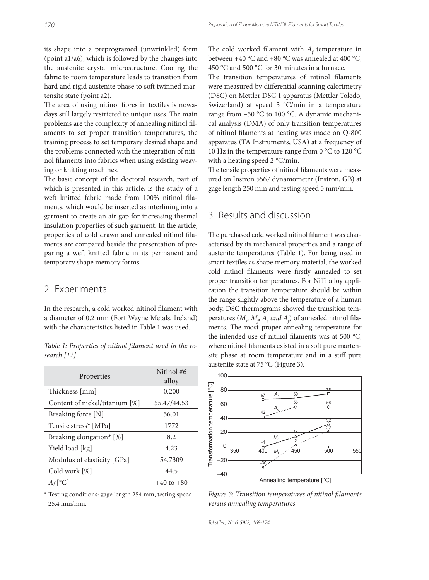its shape into a preprogramed (unwrinkled) form (point a1/a6), which is followed by the changes into the austenite crystal microstructure. Cooling the fabric to room temperature leads to transition from hard and rigid austenite phase to soft twinned martensite state (point a2).

The area of using nitinol fibres in textiles is nowadays still largely restricted to unique uses. The main problems are the complexity of annealing nitinol filaments to set proper transition temperatures, the training process to set temporary desired shape and the problems connected with the integration of nitinol filaments into fabrics when using existing weaving or knitting machines.

The basic concept of the doctoral research, part of which is presented in this article, is the study of a weft knitted fabric made from 100% nitinol filaments, which would be inserted as interlining into a garment to create an air gap for increasing thermal insulation properties of such garment. In the article, properties of cold drawn and annealed nitinol filaments are compared beside the presentation of preparing a weft knitted fabric in its permanent and temporary shape memory forms.

## 2 Experimental

In the research, a cold worked nitinol filament with a diameter of 0.2 mm (Fort Wayne Metals, Ireland) with the characteristics listed in Table 1 was used.

|             | Table 1: Properties of nitinol filament used in the re- |  |  |  |
|-------------|---------------------------------------------------------|--|--|--|
| search [12] |                                                         |  |  |  |

| Properties                     | Nitinol #6<br>alloy |  |
|--------------------------------|---------------------|--|
| Thickness [mm]                 | 0.200               |  |
| Content of nickel/titanium [%] | 55.47/44.53         |  |
| Breaking force [N]             | 56.01               |  |
| Tensile stress* [MPa]          | 1772                |  |
| Breaking elongation* [%]       | 8.2                 |  |
| Yield load [kg]                | 4.23                |  |
| Modulus of elasticity [GPa]    | 54.7309             |  |
| Cold work [%]                  | 44.5                |  |
| $A_f$ <sup>[o</sup> C]         | $+40$ to $+80$      |  |

<sup>\*</sup> Testing conditions: gage length 254 mm, testing speed 25.4 mm/min.

The cold worked filament with  $A_f$  temperature in between +40 °C and +80 °C was annealed at 400 °C, 450 °C and 500 °C for 30 minutes in a furnace.

The transition temperatures of nitinol filaments were measured by differential scanning calorimetry (DSC) on Mettler DSC 1 apparatus (Mettler Toledo, Swizerland) at speed 5 °C/min in a temperature range from –50 °C to 100 °C. A dynamic mechanical analysis (DMA) of only transition temperatures of nitinol filaments at heating was made on Q-800 apparatus (TA Instruments, USA) at a frequency of 10 Hz in the temperature range from 0 °C to 120 °C with a heating speed 2 °C/min.

The tensile properties of nitinol filaments were measured on Instron 5567 dynamometer (Instron, GB) at gage length 250 mm and testing speed 5 mm/min.

## 3 Results and discussion

The purchased cold worked nitinol filament was characterised by its mechanical properties and a range of austenite temperatures (Table 1). For being used in smart textiles as shape memory material, the worked cold nitinol filaments were firstly annealed to set proper transition temperatures. For NiTi alloy application the transition temperature should be within the range slightly above the temperature of a human body. DSC thermograms showed the transition temperatures ( $M_s$ ,  $M_\rho$ ,  $A_s$ , and  $A_f$ ) of annealed nitinol filaments. The most proper annealing temperature for the intended use of nitinol filaments was at 500  $^{\circ}$ C, where nitinol filaments existed in a soft pure martensite phase at room temperature and in a stiff pure austenite state at 75 °C (Figure 3).



Figure 3: Transition temperatures of nitinol filaments versus annealing temperatures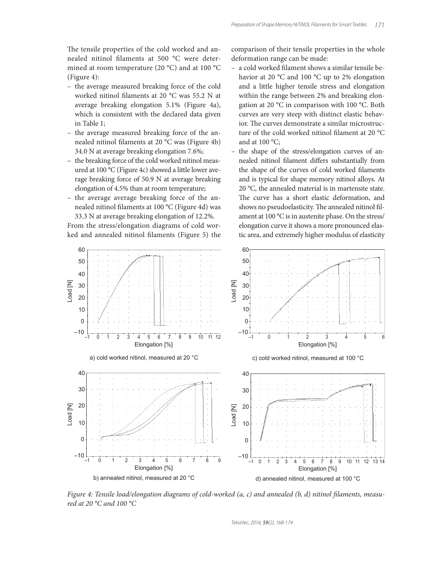The tensile properties of the cold worked and annealed nitinol filaments at 500 °C were determined at room temperature (20 °C) and at 100 °C (Figure 4):

- the average measured breaking force of the cold worked nitinol filaments at 20  $^{\circ}$ C was 55.2 N at average breaking elongation 5.1% (Figure 4a), which is consistent with the declared data given in Table 1;
- the average measured breaking force of the annealed nitinol filaments at 20 °C was (Figure 4b) 34.0 N at average breaking elongation 7.6%;
- the breaking force of the cold worked nitinol measured at 100 °C (Figure 4c) showed a little lower average breaking force of 50.9 N at average breaking elongation of 4.5% than at room temperature;
- the average average breaking force of the annealed nitinol filaments at 100 °C (Figure 4d) was 33.3 N at average breaking elongation of 12.2%.

From the stress/elongation diagrams of cold worked and annealed nitinol filaments (Figure 5) the comparison of their tensile properties in the whole deformation range can be made:

- a cold worked filament shows a similar tensile behavior at 20 °C and 100 °C up to 2% elongation and a little higher tensile stress and elongation within the range between 2% and breaking elongation at 20 °C in comparison with 100 °C. Both curves are very steep with distinct elastic behavior. The curves demonstrate a similar microstructure of the cold worked nitinol filament at 20 $\degree$ C and at 100 °C;
- the shape of the stress/elongation curves of annealed nitinol filament differs substantially from the shape of the curves of cold worked filaments and is typical for shape memory nitinol alloys. At 20 °C, the annealed material is in martensite state. The curve has a short elastic deformation, and shows no pseudoelasticity. The annealed nitinol filament at 100 °C is in austenite phase. On the stress/ elongation curve it shows a more pronounced elastic area, and extremely higher modulus of elasticity



Figure 4: Tensile load/elongation diagrams of cold-worked  $(a, c)$  and annealed  $(b, d)$  nitinol filaments, measured at 20 °C and 100 °C

Tekstilec, 2016, 59(2), 168-174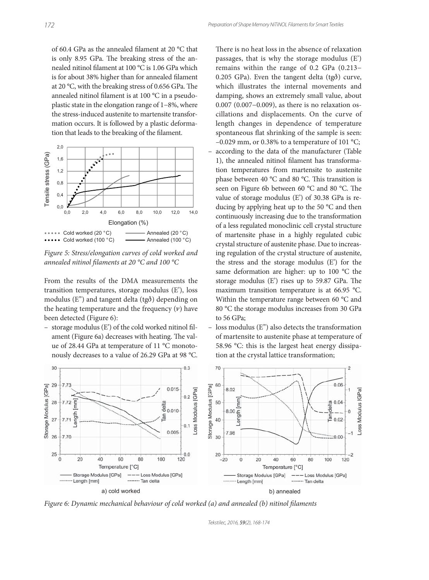of 60.4 GPa as the annealed filament at 20  $^{\circ}$ C that is only 8.95 GPa. The breaking stress of the annealed nitinol filament at 100 °C is 1.06 GPa which is for about 38% higher than for annealed filament at 20  $^{\circ}$ C, with the breaking stress of 0.656 GPa. The annealed nitinol filament is at 100  $^{\circ}$ C in a pseudoplastic state in the elongation range of 1−8%, where the stress-induced austenite to martensite transformation occurs. It is followed by a plastic deformation that leads to the breaking of the filament.



Figure 5: Stress/elongation curves of cold worked and annealed nitinol filaments at 20  $^{\circ}$ C and 100  $^{\circ}$ C

From the results of the DMA measurements the transition temperatures, storage modulus (E'), loss modulus ( $E''$ ) and tangent delta (tg $\delta$ ) depending on the heating temperature and the frequency  $(v)$  have been detected (Figure 6):

- storage modulus (E') of the cold worked nitinol filament (Figure 6a) decreases with heating. The value of 28.44 GPa at temperature of 11 °C monotonously decreases to a value of 26.29 GPa at 98 °C.



loss modulus (E") also detects the transformation of martensite to austenite phase at temperature of 58.96 °C: this is the largest heat energy dissipation at the crystal lattice transformation;



Figure 6: Dynamic mechanical behaviour of cold worked (a) and annealed (b) nitinol filaments

Tekstilec, 2016, 59(2), 168-174

to 56 GPa;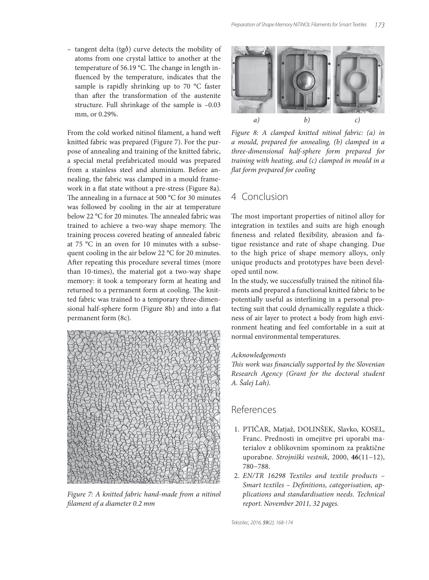$-$  tangent delta (tg $\delta$ ) curve detects the mobility of atoms from one crystal lattice to another at the temperature of 56.19  $^{\circ}$ C. The change in length influenced by the temperature, indicates that the sample is rapidly shrinking up to 70 °C faster than after the transformation of the austenite structure. Full shrinkage of the sample is –0.03 mm, or 0.29%.

From the cold worked nitinol filament, a hand weft knitted fabric was prepared (Figure 7). For the purpose of annealing and training of the knitted fabric, a special metal prefabricated mould was prepared from a stainless steel and aluminium. Before annealing, the fabric was clamped in a mould framework in a flat state without a pre-stress (Figure 8a). The annealing in a furnace at 500  $^{\circ}$ C for 30 minutes was followed by cooling in the air at temperature below 22 °C for 20 minutes. The annealed fabric was trained to achieve a two-way shape memory. The training process covered heating of annealed fabric at 75 °C in an oven for 10 minutes with a subsequent cooling in the air below 22 °C for 20 minutes. After repeating this procedure several times (more than 10-times), the material got a two-way shape memory: it took a temporary form at heating and returned to a permanent form at cooling. The knitted fabric was trained to a temporary three-dimensional half-sphere form (Figure 8b) and into a flat permanent form (8c).



Figure 7: A knitted fabric hand-made from a nitinol filament of a diameter 0.2 mm



Figure 8: A clamped knitted nitinol fabric: (a) in a mould, prepared for annealing, (b) clamped in a three-dimensional half-sphere form prepared for training with heating, and (c) clamped in mould in a flat form prepared for cooling

## 4 Conclusion

The most important properties of nitinol alloy for integration in textiles and suits are high enough fineness and related flexibility, abrasion and fatigue resistance and rate of shape changing. Due to the high price of shape memory alloys, only unique products and prototypes have been developed until now.

In the study, we successfully trained the nitinol filaments and prepared a functional knitted fabric to be potentially useful as interlining in a personal protecting suit that could dynamically regulate a thickness of air layer to protect a body from high environment heating and feel comfortable in a suit at normal environmental temperatures.

#### Acknowledgements

This work was financially supported by the Slovenian Research Agency (Grant for the doctoral student A. Šalej Lah).

## References

- 1. PTIČAR, Matjaž, DOLINŠEK, Slavko, KOSEL, Franc. Prednosti in omejitve pri uporabi materialov z oblikovnim spominom za praktične uporabne. Strojniški vestnik, 2000, **46**(11−12), 780−788.
- 2. EN/TR 16298 Textiles and textile products Smart textiles - Definitions, categorisation, applications and standardisation needs. Technical report. November 2011, 32 pages.